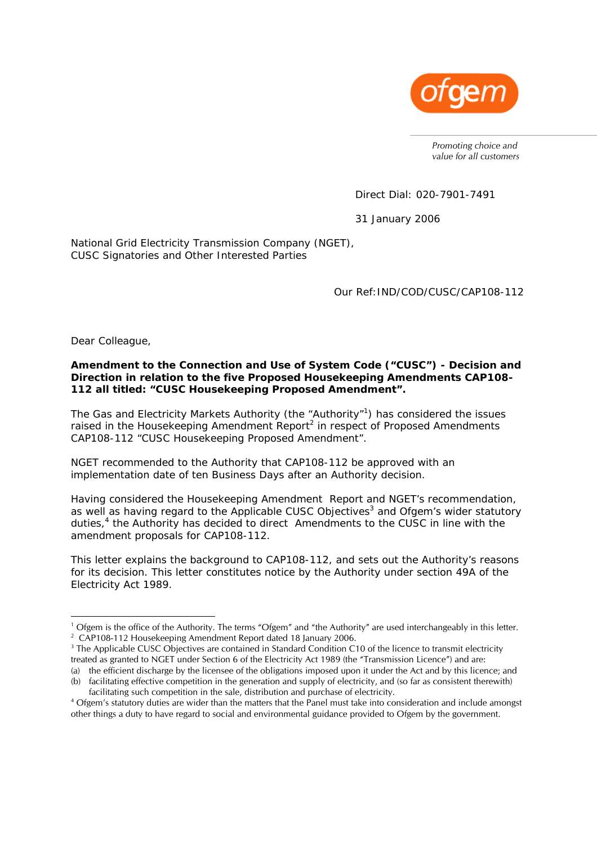

*Promoting choice and value for all customers* 

Direct Dial: 020-7901-7491

31 January 2006

National Grid Electricity Transmission Company (NGET), CUSC Signatories and Other Interested Parties

Our Ref:IND/COD/CUSC/CAP108-112

Dear Colleague,

 $\overline{a}$ 

### **Amendment to the Connection and Use of System Code ("CUSC") - Decision and Direction in relation to the five Proposed Housekeeping Amendments CAP108- 112 all titled: "CUSC Housekeeping Proposed Amendment".**

The Gas and Electricity Markets Authority (the "Authority"<sup>1</sup>) has considered the issues raised in the Housekeeping Amendment Report<sup>2</sup> in respect of Proposed Amendments CAP108-112 "CUSC Housekeeping Proposed Amendment".

NGET recommended to the Authority that CAP108-112 be approved with an implementation date of ten Business Days after an Authority decision.

Having considered the Housekeeping Amendment Report and NGET's recommendation, as well as having regard to the Applicable CUSC Objectives<sup>3</sup> and Ofgem's wider statutory duties,<sup>4</sup> the Authority has decided to direct Amendments to the CUSC in line with the amendment proposals for CAP108-112.

This letter explains the background to CAP108-112, and sets out the Authority's reasons for its decision. This letter constitutes notice by the Authority under section 49A of the Electricity Act 1989.

<sup>&</sup>lt;sup>1</sup> Ofgem is the office of the Authority. The terms "Ofgem" and "the Authority" are used interchangeably in this letter.<br><sup>2</sup> CAP108 112 Housekeeping Amondment Report dated 18 January 2006. <sup>2</sup> CAP108-112 Housekeeping Amendment Report dated 18 January 2006.

<sup>&</sup>lt;sup>3</sup> The Applicable CUSC Objectives are contained in Standard Condition C10 of the licence to transmit electricity treated as granted to NGET under Section 6 of the Electricity Act 1989 (the "Transmission Licence") and are:

<sup>(</sup>a) the efficient discharge by the licensee of the obligations imposed upon it under the Act and by this licence; and (b) facilitating effective competition in the generation and supply of electricity, and (so far as consistent therewith)

facilitating such competition in the sale, distribution and purchase of electricity. Ofgem's statutory duties are wider than the matters that the Panel must take into consideration and include amongst other things a duty to have regard to social and environmental guidance provided to Ofgem by the government.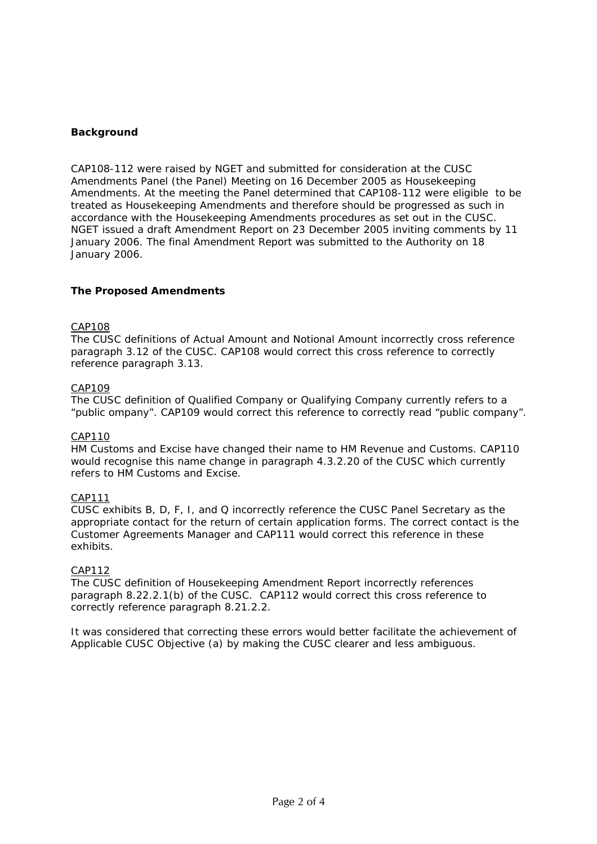# **Background**

CAP108-112 were raised by NGET and submitted for consideration at the CUSC Amendments Panel (the Panel) Meeting on 16 December 2005 as Housekeeping Amendments. At the meeting the Panel determined that CAP108-112 were eligible to be treated as Housekeeping Amendments and therefore should be progressed as such in accordance with the Housekeeping Amendments procedures as set out in the CUSC. NGET issued a draft Amendment Report on 23 December 2005 inviting comments by 11 January 2006. The final Amendment Report was submitted to the Authority on 18 January 2006.

## **The Proposed Amendments**

#### CAP108

The CUSC definitions of Actual Amount and Notional Amount incorrectly cross reference paragraph 3.12 of the CUSC. CAP108 would correct this cross reference to correctly reference paragraph 3.13.

### CAP109

The CUSC definition of Qualified Company or Qualifying Company currently refers to a "public ompany". CAP109 would correct this reference to correctly read "public company".

#### CAP110

HM Customs and Excise have changed their name to HM Revenue and Customs. CAP110 would recognise this name change in paragraph 4.3.2.20 of the CUSC which currently refers to HM Customs and Excise.

#### CAP111

CUSC exhibits B, D, F, I, and Q incorrectly reference the CUSC Panel Secretary as the appropriate contact for the return of certain application forms. The correct contact is the Customer Agreements Manager and CAP111 would correct this reference in these exhibits.

#### CAP112

The CUSC definition of Housekeeping Amendment Report incorrectly references paragraph 8.22.2.1(b) of the CUSC. CAP112 would correct this cross reference to correctly reference paragraph 8.21.2.2.

It was considered that correcting these errors would better facilitate the achievement of Applicable CUSC Objective (a) by making the CUSC clearer and less ambiguous.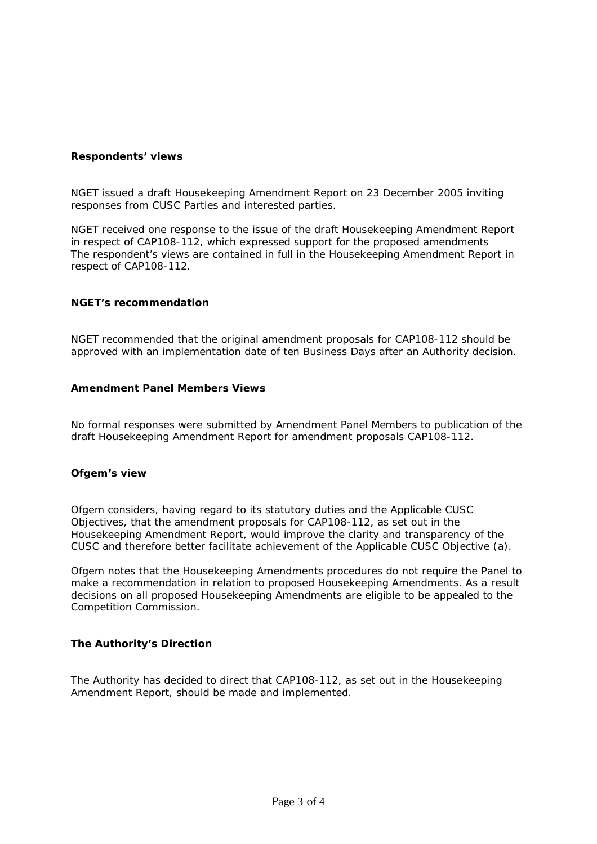## **Respondents' views**

NGET issued a draft Housekeeping Amendment Report on 23 December 2005 inviting responses from CUSC Parties and interested parties.

NGET received one response to the issue of the draft Housekeeping Amendment Report in respect of CAP108-112, which expressed support for the proposed amendments The respondent's views are contained in full in the Housekeeping Amendment Report in respect of CAP108-112.

## **NGET's recommendation**

NGET recommended that the original amendment proposals for CAP108-112 should be approved with an implementation date of ten Business Days after an Authority decision.

### **Amendment Panel Members Views**

No formal responses were submitted by Amendment Panel Members to publication of the draft Housekeeping Amendment Report for amendment proposals CAP108-112.

## **Ofgem's view**

Ofgem considers, having regard to its statutory duties and the Applicable CUSC Objectives, that the amendment proposals for CAP108-112, as set out in the Housekeeping Amendment Report, would improve the clarity and transparency of the CUSC and therefore better facilitate achievement of the Applicable CUSC Objective (a).

Ofgem notes that the Housekeeping Amendments procedures do not require the Panel to make a recommendation in relation to proposed Housekeeping Amendments. As a result decisions on all proposed Housekeeping Amendments are eligible to be appealed to the Competition Commission.

## **The Authority's Direction**

The Authority has decided to direct that CAP108-112, as set out in the Housekeeping Amendment Report, should be made and implemented.